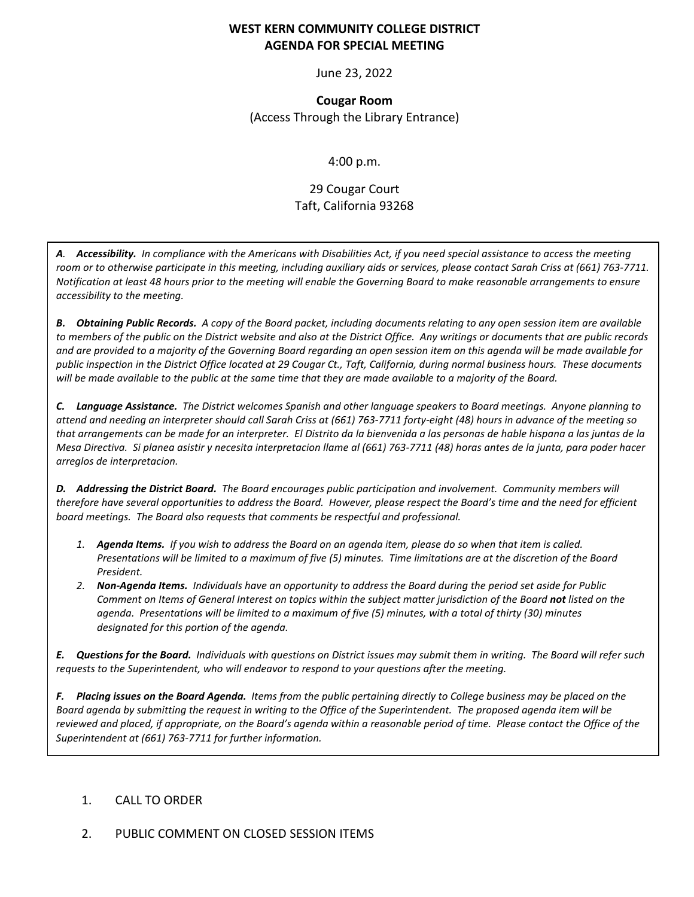## **WEST KERN COMMUNITY COLLEGE DISTRICT AGENDA FOR SPECIAL MEETING**

June 23, 2022

**Cougar Room** (Access Through the Library Entrance)

## 4:00 p.m.

# 29 Cougar Court Taft, California 93268

*A. Accessibility. In compliance with the Americans with Disabilities Act, if you need special assistance to access the meeting room or to otherwise participate in this meeting, including auxiliary aids or services, please contact Sarah Criss at (661) 763-7711. Notification at least 48 hours prior to the meeting will enable the Governing Board to make reasonable arrangements to ensure accessibility to the meeting.*

*B. Obtaining Public Records. A copy of the Board packet, including documents relating to any open session item are available to members of the public on the District website and also at the District Office. Any writings or documents that are public records and are provided to a majority of the Governing Board regarding an open session item on this agenda will be made available for public inspection in the District Office located at 29 Cougar Ct., Taft, California, during normal business hours. These documents will be made available to the public at the same time that they are made available to a majority of the Board.*

*C. Language Assistance. The District welcomes Spanish and other language speakers to Board meetings. Anyone planning to attend and needing an interpreter should call Sarah Criss at (661) 763-7711 forty-eight (48) hours in advance of the meeting so that arrangements can be made for an interpreter. El Distrito da la bienvenida a las personas de hable hispana a las juntas de la Mesa Directiva. Si planea asistir y necesita interpretacion llame al (661) 763-7711 (48) horas antes de la junta, para poder hacer arreglos de interpretacion.*

*D. Addressing the District Board. The Board encourages public participation and involvement. Community members will therefore have several opportunities to address the Board. However, please respect the Board's time and the need for efficient board meetings. The Board also requests that comments be respectful and professional.*

- *1. Agenda Items. If you wish to address the Board on an agenda item, please do so when that item is called. Presentations will be limited to a maximum of five (5) minutes. Time limitations are at the discretion of the Board President.*
- *2. Non-Agenda Items. Individuals have an opportunity to address the Board during the period set aside for Public Comment on Items of General Interest on topics within the subject matter jurisdiction of the Board not listed on the agenda. Presentations will be limited to a maximum of five (5) minutes, with a total of thirty (30) minutes designated for this portion of the agenda.*

*E. Questions for the Board. Individuals with questions on District issues may submit them in writing. The Board will refer such requests to the Superintendent, who will endeavor to respond to your questions after the meeting.*

*F. Placing issues on the Board Agenda. Items from the public pertaining directly to College business may be placed on the Board agenda by submitting the request in writing to the Office of the Superintendent. The proposed agenda item will be reviewed and placed, if appropriate, on the Board's agenda within a reasonable period of time. Please contact the Office of the Superintendent at (661) 763-7711 for further information.*

## 1. CALL TO ORDER

#### 2. PUBLIC COMMENT ON CLOSED SESSION ITEMS